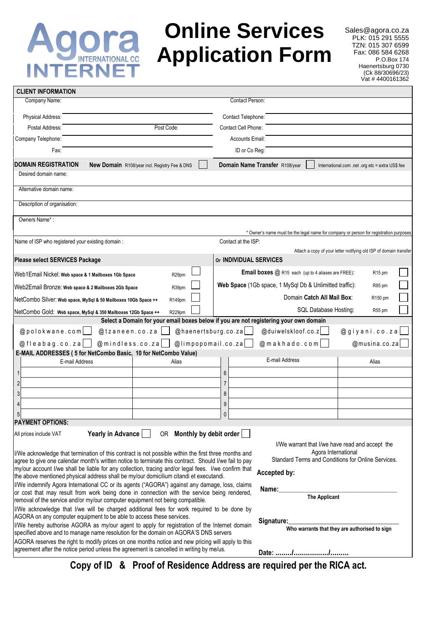## ra INTERNATIONAL CC **INTERNE**

## **Online Services Application Form**

Sales@agora.co.za PLK: 015 291 5555 TZN: 015 307 6599 Fax: 086 584 6268 P.O.Box 174 Haenertsburg 0730 (Ck 88/30696/23) Vat # 4400161362

| <b>CLIENT INFORMATION</b>                                                                                                                                                                                                                                                                                                                                                                                                                                                                                                                                       |                                                                                                                                                                                                            |  |  |  |
|-----------------------------------------------------------------------------------------------------------------------------------------------------------------------------------------------------------------------------------------------------------------------------------------------------------------------------------------------------------------------------------------------------------------------------------------------------------------------------------------------------------------------------------------------------------------|------------------------------------------------------------------------------------------------------------------------------------------------------------------------------------------------------------|--|--|--|
| Company Name:                                                                                                                                                                                                                                                                                                                                                                                                                                                                                                                                                   | Contact Person:                                                                                                                                                                                            |  |  |  |
| Physical Address:                                                                                                                                                                                                                                                                                                                                                                                                                                                                                                                                               | Contact Telephone:                                                                                                                                                                                         |  |  |  |
| Postal Address:<br>Post Code:                                                                                                                                                                                                                                                                                                                                                                                                                                                                                                                                   | Contact Cell Phone:                                                                                                                                                                                        |  |  |  |
| Company Telephone:                                                                                                                                                                                                                                                                                                                                                                                                                                                                                                                                              | <b>Accounts Email:</b>                                                                                                                                                                                     |  |  |  |
| Fax:                                                                                                                                                                                                                                                                                                                                                                                                                                                                                                                                                            | ID or Co Reg:                                                                                                                                                                                              |  |  |  |
| <b>DOMAIN REGISTRATION</b><br><b>New Domain</b> R108/year incl. Registry Fee & DNS                                                                                                                                                                                                                                                                                                                                                                                                                                                                              | Domain Name Transfer R108/year<br>International.com .net .org etc = extra US\$ fee                                                                                                                         |  |  |  |
| Desired domain name:                                                                                                                                                                                                                                                                                                                                                                                                                                                                                                                                            |                                                                                                                                                                                                            |  |  |  |
| Alternative domain name:                                                                                                                                                                                                                                                                                                                                                                                                                                                                                                                                        |                                                                                                                                                                                                            |  |  |  |
| Description of organisation:                                                                                                                                                                                                                                                                                                                                                                                                                                                                                                                                    |                                                                                                                                                                                                            |  |  |  |
| Owners Name*:                                                                                                                                                                                                                                                                                                                                                                                                                                                                                                                                                   |                                                                                                                                                                                                            |  |  |  |
|                                                                                                                                                                                                                                                                                                                                                                                                                                                                                                                                                                 | * Owner's name must be the legal name for company or person for registration purposes                                                                                                                      |  |  |  |
| Name of ISP who registered your existing domain :                                                                                                                                                                                                                                                                                                                                                                                                                                                                                                               | Contact at the ISP:                                                                                                                                                                                        |  |  |  |
|                                                                                                                                                                                                                                                                                                                                                                                                                                                                                                                                                                 | Attach a copy of your letter notifying old ISP of domain transfer<br><b>Or INDIVIDUAL SERVICES</b>                                                                                                         |  |  |  |
| <b>Please select SERVICES Package</b>                                                                                                                                                                                                                                                                                                                                                                                                                                                                                                                           |                                                                                                                                                                                                            |  |  |  |
| Web1Email Nickel: Web space & 1 Mailboxes 1Gb Space<br>R <sub>29pm</sub>                                                                                                                                                                                                                                                                                                                                                                                                                                                                                        | Email boxes @ R15 each (up to 4 aliases are FREE):<br>R <sub>15</sub> pm                                                                                                                                   |  |  |  |
| Web2Email Bronze: Web space & 2 Mailboxes 2Gb Space<br>R39pm                                                                                                                                                                                                                                                                                                                                                                                                                                                                                                    | Web Space (1Gb space, 1 MySql Db & Unlimitted traffic):<br>R85 pm                                                                                                                                          |  |  |  |
| NetCombo Silver: Web space, MySql & 50 Mailboxes 10Gb Space ++<br>R149pm                                                                                                                                                                                                                                                                                                                                                                                                                                                                                        | Domain Catch All Mail Box:<br>R150 pm                                                                                                                                                                      |  |  |  |
| NetCombo Gold: Web space, MySql & 350 Mailboxes 12Gb Space ++<br>R229pm                                                                                                                                                                                                                                                                                                                                                                                                                                                                                         | SQL Database Hosting:<br>R <sub>55</sub> pm                                                                                                                                                                |  |  |  |
| @polokwane.com<br>@tzaneen.co.za<br>@mindless.co.za<br>$@f$ leabag.co.za<br>E-MAIL ADDRESSES (5 for NetCombo Basic, 10 for NetCombo Value)                                                                                                                                                                                                                                                                                                                                                                                                                      | Select a Domain for your email boxes below if you are not registering your own domain<br>@haenertsburg.co.za<br>@giyani.co.za<br>@duiwelskloof.co.z<br>@limpopomail.co.za<br>@musina.co.za<br>@makhado.com |  |  |  |
| E-mail Address<br>Alias                                                                                                                                                                                                                                                                                                                                                                                                                                                                                                                                         | E-mail Address<br>Alias                                                                                                                                                                                    |  |  |  |
|                                                                                                                                                                                                                                                                                                                                                                                                                                                                                                                                                                 | 6                                                                                                                                                                                                          |  |  |  |
| $\overline{c}$                                                                                                                                                                                                                                                                                                                                                                                                                                                                                                                                                  | 7                                                                                                                                                                                                          |  |  |  |
| 3                                                                                                                                                                                                                                                                                                                                                                                                                                                                                                                                                               | 8                                                                                                                                                                                                          |  |  |  |
| 4                                                                                                                                                                                                                                                                                                                                                                                                                                                                                                                                                               | 9                                                                                                                                                                                                          |  |  |  |
| 5<br><b>PAYMENT OPTIONS:</b>                                                                                                                                                                                                                                                                                                                                                                                                                                                                                                                                    | 0                                                                                                                                                                                                          |  |  |  |
| Yearly in Advance<br>All prices include VAT                                                                                                                                                                                                                                                                                                                                                                                                                                                                                                                     | OR Monthly by debit order                                                                                                                                                                                  |  |  |  |
| I/We warrant that I/we have read and accept the<br>Agora International<br>I/We acknowledge that termination of this contract is not possible within the first three months and<br>Standard Terms and Conditions for Online Services.<br>agree to give one calendar month's written notice to terminate this contract. Should I/we fail to pay<br>my/our account I/we shall be liable for any collection, tracing and/or legal fees. I/we confirm that<br>Accepted by:<br>the above mentioned physical address shall be my/our domicilium citandi et executandi. |                                                                                                                                                                                                            |  |  |  |
| I/We indemnify Agora International CC or its agents ("AGORA") against any damage, loss, claims<br>or cost that may result from work being done in connection with the service being rendered,<br>removal of the service and/or my/our computer equipment not being compatible.                                                                                                                                                                                                                                                                                  | Name:<br>The Applicant                                                                                                                                                                                     |  |  |  |
| I/We acknowledge that I/we will be charged additional fees for work required to be done by<br>AGORA on any computer equipment to be able to access these services.                                                                                                                                                                                                                                                                                                                                                                                              |                                                                                                                                                                                                            |  |  |  |
| I/We hereby authorise AGORA as my/our agent to apply for registration of the Internet domain<br>specified above and to manage name resolution for the domain on AGORA'S DNS servers                                                                                                                                                                                                                                                                                                                                                                             | Signature:<br>Who warrants that they are authorised to sign                                                                                                                                                |  |  |  |
| AGORA reserves the right to modify prices on one months notice and new pricing will apply to this<br>agreement after the notice period unless the agreement is cancelled in writing by me/us.                                                                                                                                                                                                                                                                                                                                                                   |                                                                                                                                                                                                            |  |  |  |

**Copy of ID & Proof of Residence Address are required per the RICA act.**